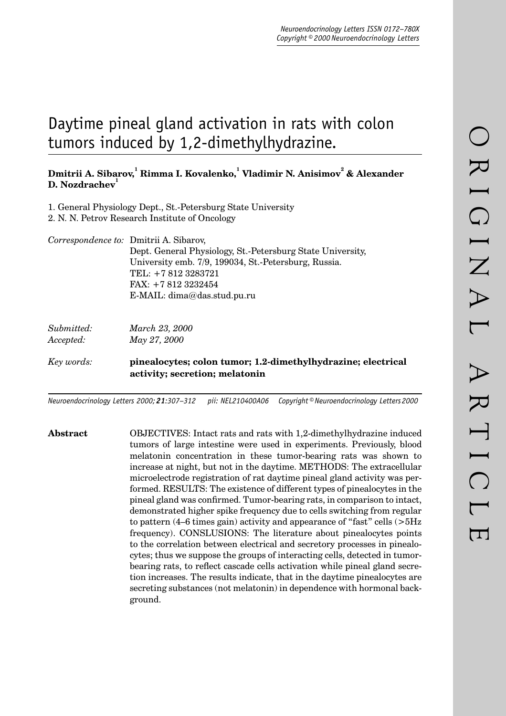# Daytime pineal gland activation in rats with colon tumors induced by 1,2-dimethylhydrazine.

## $\bm{\mathrm{D}}$ mitrii A. Sibarov. <sup>1</sup> Rimma I. Kovalenko. <sup>1</sup> Vladimir N. Anisimov<sup>2</sup> & Alexander **D. Nozdrachev**

- 1. General Physiology Dept., St.-Petersburg State University
- 2. N. N. Petrov Research Institute of Oncology

*Correspondence to:* Dmitrii A. Sibarov, Dept. General Physiology, St.-Petersburg State University, University emb. 7/9, 199034, St.-Petersburg, Russia. TEL: +7 812 3283721 FAX: +7 812 3232454 E-MAIL: dima@das.stud.pu.ru

| Submitted: | March 23, 2000                                                                                 |
|------------|------------------------------------------------------------------------------------------------|
| Accepted:  | May 27, 2000                                                                                   |
| Key words: | pinealocytes; colon tumor; 1.2-dimethylhydrazine; electrical<br>activity; secretion; melatonin |

*Neuroendocrinology Letters 2000; 21:307–312 pii: NEL210400A06 Copyright © Neuroendocrinology Letters 2000*

**Abstract** OBJECTIVES: Intact rats and rats with 1,2-dimethylhydrazine induced tumors of large intestine were used in experiments. Previously, blood melatonin concentration in these tumor-bearing rats was shown to increase at night, but not in the daytime. METHODS: The extracellular microelectrode registration of rat daytime pineal gland activity was performed. RESULTS: The existence of different types of pinealocytes in the pineal gland was confirmed. Tumor-bearing rats, in comparison to intact, demonstrated higher spike frequency due to cells switching from regular to pattern (4–6 times gain) activity and appearance of "fast" cells (>5Hz frequency). CONSLUSIONS: The literature about pinealocytes points to the correlation between electrical and secretory processes in pinealocytes; thus we suppose the groups of interacting cells, detected in tumorbearing rats, to reflect cascade cells activation while pineal gland secretion increases. The results indicate, that in the daytime pinealocytes are secreting substances (not melatonin) in dependence with hormonal background.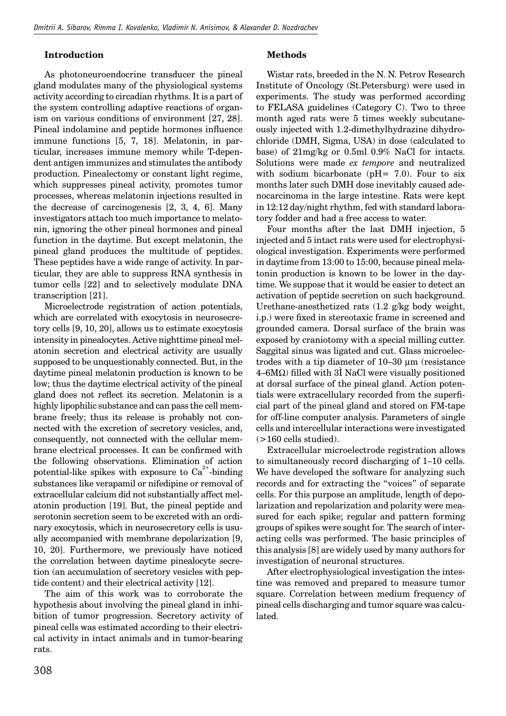### **Introduction**

As photoneuroendocrine transducer the pineal gland modulates many of the physiological systems activity according to circadian rhythms. It is a part of the system controlling adaptive reactions of organism on various conditions of environment [27, 28]. Pineal indolamine and peptide hormones influence immune functions [5, 7, 18]. Melatonin, in particular, increases immune memory while T-dependent antigen immunizes and stimulates the antibody production. Pinealectomy or constant light regime, which suppresses pineal activity, promotes tumor processes, whereas melatonin injections resulted in the decrease of carcinogenesis [2, 3, 4, 6]. Many investigators attach too much importance to melatonin, ignoring the other pineal hormones and pineal function in the daytime. But except melatonin, the pineal gland produces the multitude of peptides. These peptides have a wide range of activity. In particular, they are able to suppress RNA synthesis in tumor cells [22] and to selectively modulate DNA transcription [21].

Microelectrode registration of action potentials, which are correlated with exocytosis in neurosecretory cells [9, 10, 20], allows us to estimate exocytosis intensity in pinealocytes. Active nighttime pineal melatonin secretion and electrical activity are usually supposed to be unquestionably connected. But, in the daytime pineal melatonin production is known to be low; thus the daytime electrical activity of the pineal gland does not reflect its secretion. Melatonin is a highly lipophilic substance and can pass the cell membrane freely; thus its release is probably not connected with the excretion of secretory vesicles, and, consequently, not connected with the cellular membrane electrical processes. It can be confirmed with the following observations. Elimination of action potential-like spikes with exposure to  $Ca^{2+}$ -binding substances like verapamil or nifedipine or removal of extracellular calcium did not substantially affect melatonin production [19]. But, the pineal peptide and serotonin secretion seem to be excreted with an ordinary exocytosis, which in neurosecretory cells is usually accompanied with membrane depolarization [9, 10, 20]. Furthermore, we previously have noticed the correlation between daytime pinealocyte secretion (an accumulation of secretory vesicles with peptide content) and their electrical activity [12].

The aim of this work was to corroborate the hypothesis about involving the pineal gland in inhibition of tumor progression. Secretory activity of pineal cells was estimated according to their electrical activity in intact animals and in tumor-bearing rats.

#### **Methods**

Wistar rats, breeded in the N. N. Petrov Research Institute of Oncology (St.Petersburg) were used in experiments. The study was performed according to FELASA guidelines (Category C). Two to three month aged rats were 5 times weekly subcutaneously injected with 1.2-dimethylhydrazine dihydrochloride (DMH, Sigma, USA) in dose (calculated to base) of 21mg/kg or 0.5ml 0.9% NaCl for intacts. Solutions were made *ex tempore* and neutralized with sodium bicarbonate ( $pH = 7.0$ ). Four to six months later such DMH dose inevitably caused adenocarcinoma in the large intestine. Rats were kept in 12:12 day/night rhythm, fed with standard laboratory fodder and had a free access to water.

Four months after the last DMH injection, 5 injected and 5 intact rats were used for electrophysiological investigation. Experiments were performed in daytime from 13:00 to 15:00, because pineal melatonin production is known to be lower in the daytime. We suppose that it would be easier to detect an activation of peptide secretion on such background. Urethane-anesthetized rats (1.2 g/kg body weight, i.p.) were fixed in stereotaxic frame in screened and grounded camera. Dorsal surface of the brain was exposed by craniotomy with a special milling cutter. Saggital sinus was ligated and cut. Glass microelectrodes with a tip diameter of 10–30 µm (resistance  $4-6M\Omega$ ) filled with 3I NaCl were visually positioned at dorsal surface of the pineal gland. Action potentials were extracellulary recorded from the superficial part of the pineal gland and stored on FM-tape for off-line computer analysis. Parameters of single cells and intercellular interactions were investigated  $(>160$  cells studied).

Extracellular microelectrode registration allows to simultaneously record discharging of 1–10 cells. We have developed the software for analyzing such records and for extracting the "voices" of separate cells. For this purpose an amplitude, length of depolarization and repolarization and polarity were measured for each spike; regular and pattern forming groups of spikes were sought for. The search of interacting cells was performed. The basic principles of this analysis [8] are widely used by many authors for investigation of neuronal structures.

After electrophysiological investigation the intestine was removed and prepared to measure tumor square. Correlation between medium frequency of pineal cells discharging and tumor square was calculated.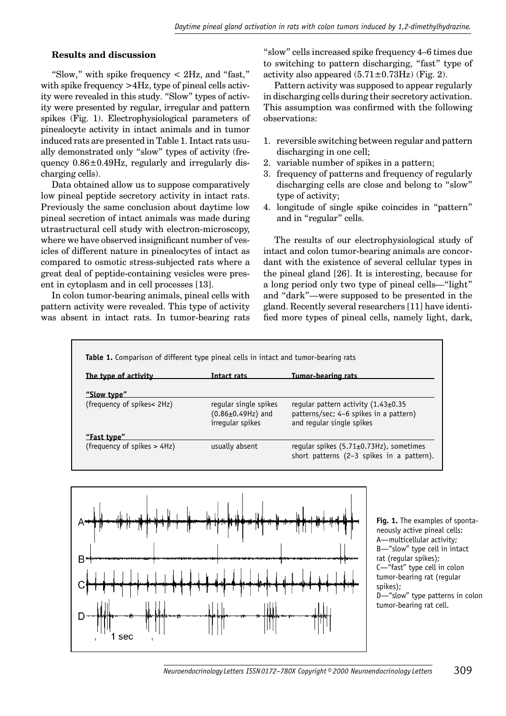#### **Results and discussion**

"Slow," with spike frequency  $\lt$  2Hz, and "fast," with spike frequency >4Hz, type of pineal cells activity were revealed in this study. "Slow" types of activity were presented by regular, irregular and pattern spikes (Fig. 1). Electrophysiological parameters of pinealocyte activity in intact animals and in tumor induced rats are presented in Table 1. Intact rats usually demonstrated only "slow" types of activity (frequency 0.86±0.49Hz, regularly and irregularly discharging cells).

Data obtained allow us to suppose comparatively low pineal peptide secretory activity in intact rats. Previously the same conclusion about daytime low pineal secretion of intact animals was made during utrastructural cell study with electron-microscopy, where we have observed insignificant number of vesicles of different nature in pinealocytes of intact as compared to osmotic stress-subjected rats where a great deal of peptide-containing vesicles were present in cytoplasm and in cell processes [13].

In colon tumor-bearing animals, pineal cells with pattern activity were revealed. This type of activity was absent in intact rats. In tumor-bearing rats "slow" cells increased spike frequency 4–6 times due to switching to pattern discharging, "fast" type of activity also appeared  $(5.71 \pm 0.73 \text{Hz})$  (Fig. 2).

Pattern activity was supposed to appear regularly in discharging cells during their secretory activation. This assumption was confirmed with the following observations:

- 1. reversible switching between regular and pattern discharging in one cell;
- 2. variable number of spikes in a pattern;
- 3. frequency of patterns and frequency of regularly discharging cells are close and belong to "slow" type of activity;
- 4. longitude of single spike coincides in "pattern" and in "regular" cells.

The results of our electrophysiological study of intact and colon tumor-bearing animals are concordant with the existence of several cellular types in the pineal gland [26]. It is interesting, because for a long period only two type of pineal cells—"light" and "dark"—were supposed to be presented in the gland. Recently several researchers [11] have identified more types of pineal cells, namely light, dark,





**Fig. 1.** The examples of spontaneously active pineal cells: A—multicellular activity; B—"slow" type cell in intact rat (regular spikes); C—"fast" type cell in colon tumor-bearing rat (regular spikes); D—"slow" type patterns in colon tumor-bearing rat cell.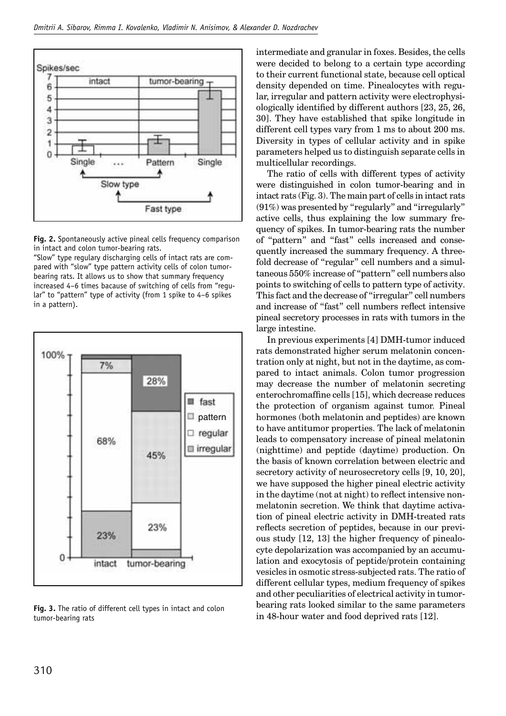

**Fig. 2.** Spontaneously active pineal cells frequency comparison in intact and colon tumor-bearing rats.

"Slow" type regulary discharging cells of intact rats are compared with "slow" type pattern activity cells of colon tumorbearing rats. It allows us to show that summary frequency increased 4–6 times bacause of switching of cells from "regular" to "pattern" type of activity (from 1 spike to 4–6 spikes in a pattern).



**Fig. 3.** The ratio of different cell types in intact and colon tumor-bearing rats

intermediate and granular in foxes. Besides, the cells were decided to belong to a certain type according to their current functional state, because cell optical density depended on time. Pinealocytes with regular, irregular and pattern activity were electrophysiologically identified by different authors  $[23, 25, 26,$ 30]. They have established that spike longitude in different cell types vary from 1 ms to about 200 ms. Diversity in types of cellular activity and in spike parameters helped us to distinguish separate cells in multicellular recordings.

The ratio of cells with different types of activity were distinguished in colon tumor-bearing and in intact rats (Fig. 3). The main part of cells in intact rats (91%) was presented by "regularly" and "irregularly" active cells, thus explaining the low summary frequency of spikes. In tumor-bearing rats the number of "pattern" and "fast" cells increased and consequently increased the summary frequency. A threefold decrease of "regular" cell numbers and a simultaneous 550% increase of "pattern" cell numbers also points to switching of cells to pattern type of activity. This fact and the decrease of "irregular" cell numbers and increase of "fast" cell numbers reflect intensive pineal secretory processes in rats with tumors in the large intestine.

In previous experiments [4] DMH-tumor induced rats demonstrated higher serum melatonin concentration only at night, but not in the daytime, as compared to intact animals. Colon tumor progression may decrease the number of melatonin secreting enterochromaffine cells [15], which decrease reduces the protection of organism against tumor. Pineal hormones (both melatonin and peptides) are known to have antitumor properties. The lack of melatonin leads to compensatory increase of pineal melatonin (nighttime) and peptide (daytime) production. On the basis of known correlation between electric and secretory activity of neurosecretory cells [9, 10, 20], we have supposed the higher pineal electric activity in the daytime (not at night) to reflect intensive nonmelatonin secretion. We think that daytime activation of pineal electric activity in DMH-treated rats reflects secretion of peptides, because in our previous study [12, 13] the higher frequency of pinealocyte depolarization was accompanied by an accumulation and exocytosis of peptide/protein containing vesicles in osmotic stress-subjected rats. The ratio of different cellular types, medium frequency of spikes and other peculiarities of electrical activity in tumorbearing rats looked similar to the same parameters in 48-hour water and food deprived rats [12].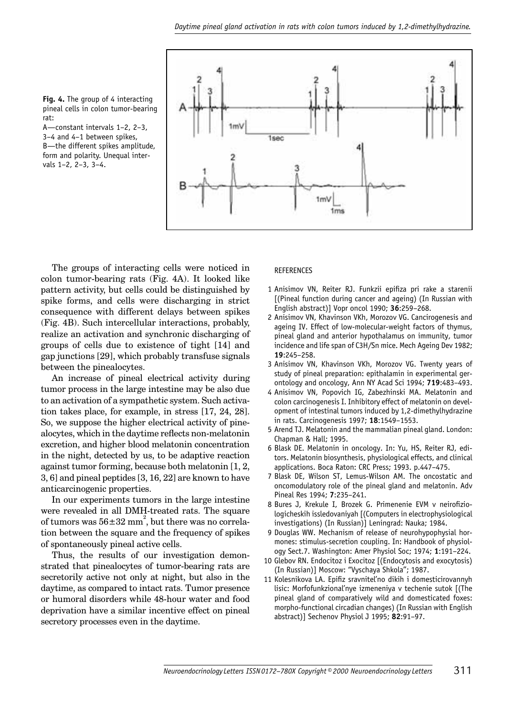

A—constant intervals 1–2, 2–3, 3–4 and 4–1 between spikes, B—the different spikes amplitude, form and polarity. Unequal intervals 1–2, 2–3, 3–4.



The groups of interacting cells were noticed in colon tumor-bearing rats (Fig. 4A). It looked like pattern activity, but cells could be distinguished by spike forms, and cells were discharging in strict consequence with different delays between spikes (Fig. 4B). Such intercellular interactions, probably, realize an activation and synchronic discharging of groups of cells due to existence of tight [14] and gap junctions [29], which probably transfuse signals between the pinealocytes.

An increase of pineal electrical activity during tumor process in the large intestine may be also due to an activation of a sympathetic system. Such activation takes place, for example, in stress [17, 24, 28]. So, we suppose the higher electrical activity of pinealocytes, which in the daytime reflects non-melatonin excretion, and higher blood melatonin concentration in the night, detected by us, to be adaptive reaction against tumor forming, because both melatonin [1, 2, 3, 6] and pineal peptides [3, 16, 22] are known to have anticarcinogenic properties.

In our experiments tumors in the large intestine were revealed in all DMH-treated rats. The square of tumors was  $56\pm32$  mm<sup>2</sup>, but there was no correlation between the square and the frequency of spikes of spontaneously pineal active cells.

Thus, the results of our investigation demonstrated that pinealocytes of tumor-bearing rats are secretorily active not only at night, but also in the daytime, as compared to intact rats. Tumor presence or humoral disorders while 48-hour water and food deprivation have a similar incentive effect on pineal secretory processes even in the daytime.

#### REFERENCES

- 1 Anisimov VN, Reiter RJ. Funkzii epifiza pri rake a starenii [(Pineal function during cancer and ageing) (In Russian with English abstract)] Vopr oncol 1990; **36**:259–268.
- 2 Anisimov VN, Khavinson VKh, Morozov VG. Cancirogenesis and ageing IV. Effect of low-molecular-weight factors of thymus, pineal gland and anterior hypothalamus on immunity, tumor incidence and life span of C3H/Sn mice. Mech Ageing Dev 1982; **19**:245–258.
- 3 Anisimov VN, Khavinson VKh, Morozov VG. Twenty years of study of pineal preparation: epithalamin in experimental gerontology and oncology, Ann NY Acad Sci 1994; **719**:483–493.
- 4 Anisimov VN, Popovich IG, Zabezhinski MA. Melatonin and colon carcinogenesis I. Inhibitory effect of melatonin on development of intestinal tumors induced by 1,2-dimethylhydrazine in rats. Carcinogenesis 1997; **18**:1549–1553.
- 5 Arend TJ. Melatonin and the mammalian pineal gland. London: Chapman & Hall; 1995.
- 6 Blask DE. Melatonin in oncology. In: Yu, HS, Reiter RJ, editors. Melatonin biosynthesis, physiological effects, and clinical applications. Boca Raton: CRC Press; 1993. p.447–475.
- 7 Blask DE, Wilson ST, Lemus-Wilson AM. The oncostatic and oncomodulatory role of the pineal gland and melatonin. Adv Pineal Res 1994; **7**:235–241.
- 8 Bures J, Krekule I, Brozek G. Primenenie EVM v neirofiziologicheskih issledovaniyah [(Computers in electrophysiological investigations) (In Russian)] Leningrad: Nauka; 1984.
- 9 Douglas WW. Mechanism of release of neurohypophysial hormones: stimulus-secretion coupling. In: Handbook of physiology Sect.7. Washington: Amer Physiol Soc; 1974; **1**:191–224.
- 10 Glebov RN. Endocitoz i Exocitoz [(Endocytosis and exocytosis) (In Russian)] Moscow: "Vyschaya Shkola"; 1987.
- 11 Kolesnikova LA. Epifiz sravniteľno dikih i domesticirovannyh lisic: Morfofunkzional'nye izmeneniya v techenie sutok [(The pineal gland of comparatively wild and domesticated foxes: morpho-functional circadian changes) (In Russian with English abstract)] Sechenov Physiol J 1995; **82**:91–97.